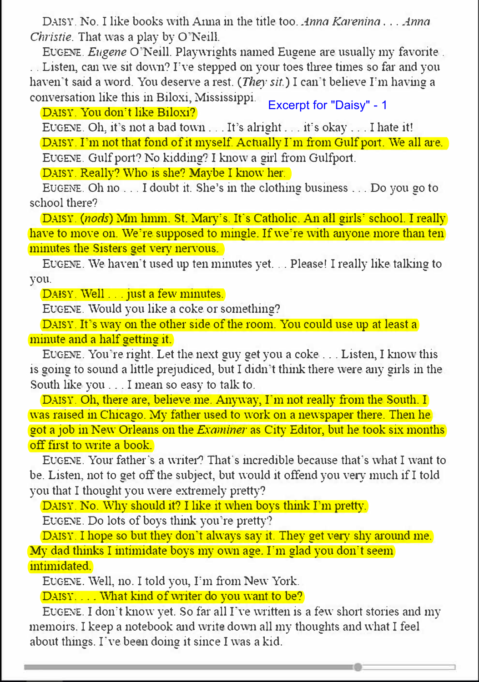DAISY. No. I like books with A1ma in the title too. *Anna Karenina .* .. *Anna Christie.* That was a play by O'Neill.

EUGENE. *Eugene* O'Neill. Playwrights named Eugene are usually my favorite. . Listen, can we sit down? I've stepped on your toes three times so far and you haven't said a word. You deserve a rest. *(They sit.)* I can't believe I'm having a conversation like this in Biloxi, Mississippi.

DAISY. You don't like Biloxi? Excerpt for "Daisy" - 1

EUGENE. Oh, it's not a bad town ... It's alright ... it's okay ... I hate it!  $\overline{{\rm D}\rm{AISY}}$  . I'm not that fond of it myself. Actually I'm from Gulf port. We all are.  $\overline{ }$ EUGENE. Gulf port? No kidding? I know a girl from Gulfpoti.

DAISY. Really? Who is she? Maybe I know her.

EUGENE. Oh no  $\dots$  I doubt it. She's in the clothing business  $\dots$  Do you go to school there?

DAISY. *(nods)* Mm hmm. St. Mary's. It's Catholic. An all girls' school. I really have to move on. We're supposed to mingle. If we're with anyone more than ten minutes the Sisters get very nervous.

EUGENE. We haven't used up ten minutes yet. .. Please! I really like talking to you.

DAISY. Well ... just a few minutes.

EUGENE. Would you like a coke or something?

DAISY. It's way on the other side of the room. You could use up at least a minute and a half getting it.

EUGENE. You're right. Let the next guy get you a coke . . . Listen, I know this is going to sound a little prejudiced, but I didn't think there were any girls in the South like you ... I mean so easy to talk to.

DAISY. Oh, there are, believe me. Anyway, I'm not really from the South. I was raised in Chicago. My father used to work on a newspaper there. Then he got a job in New Orleans on the *Examiner* as City Editor, but he took six months off first to write a book.

EUGENE. Your father's a writer? That's incredible because that's what I want to be. Listen, not to get off the subject, but would it offend you very much if I told you that I thought you were extremely pretty?

DAISY. No. Why should it? I like it when boys think I'm pretty.

EUGENE. Do lots of boys think you're pretty')

DAISY. I hope so but they don't always say it. They get very shy around me. My dad thinks I intimidate boys my own age. I'm glad you don't seem intimidated.

EUGENE. Well, no. I told you, I'm from New York.

DAISY.... What kind of writer do you want to be?

EUGENE. I don't know yet. So far all I've written is a few short stories and my memoirs. I keep a notebook and write down all my thoughts and what I feel about things. I've been doing it since I was a kid.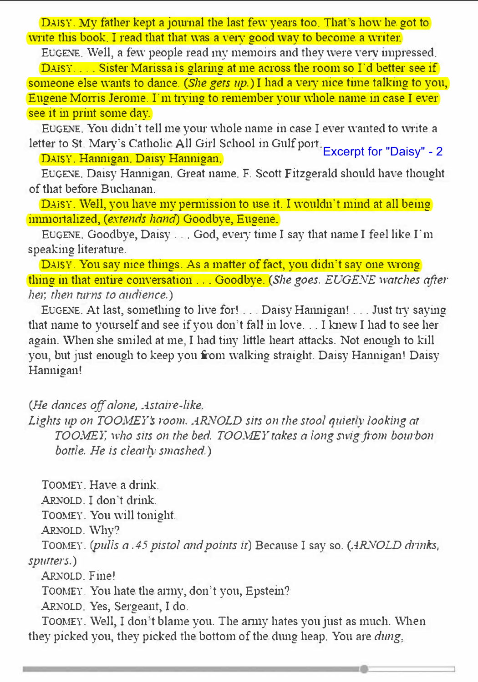DAISY. My father kept a journal the last few years too. That's how he got to write this book. I read that that was a very good way to become a writer.

EUGENE. Well, a few people read my memoirs and they were very impressed. DAISY. ... Sister Marissa is glaring at me across the room so I'd better see if someone else wants to dance. *(She gets up.)* I had a very nice time talking to you, Eugene Morris Jerome. I'm trying to remember your whole name in case I ever see it in print some day.

EUGENE. You didn't tell me your whole name in case I ever wanted to write a letter to St. Mary's Catholic All Girl School in Gulf port. Excerpt for "Daisy" - 2

DAISY. Hannigan. Daisy Hannigan.

EUGENE. Daisy Hannigan. Great name. F. Scott Fitzgerald should have thought of that before Buchanan.

DAISY. Well, you have my permission to use it. I wouldn't mind at all being immo,talized, *(extends hand)* Goodbye, Eugene.

EUGENE. Goodbye, Daisy ... God, every time I say that name I feel like I'm speaking literature.

DAISY. You say nice things. As a matter of fact, you didn't say one wrong thing in that entire conversation ... Goodbye. *(She goes. EUGENE watches after he1; then turns to audience.)* 

EUGENE. At last, something to live for! ... Daisy Hannigan! ... Just by saying that name to yourself and see if you don't fall in love ... I knew I had to see her again. When she smiled at me, I had tiny little heart attacks. Not enough to kill you, but just enough to keep you from walking straight. Daisy Hannigan! Daisy Hannigan!

*(He dances off alone, Astaire-like.* 

Lights up on TOOMEY's room. ARNOLD sits on the stool quietly looking at *TOOlv!EY, who sits on the bed. TOOMEY takes a long swig from bourbon bottle. He is clearly smashed.)* 

TOOMEY. Have a drink.

ARNOLD. I don't drink.

TOOMEY. You will tonight

ARNOLD. Why?

TOOMEY. *(pulls a. 45 pistol and points it)* Because I say so. *(ARNOLD drinks, sputters.)* 

ARNOLD. Fine!

TOOMEY. You hate the army, don't you, Epstein?

ARNOLD. Yes, Sergeant, I do.

TOOMEY. Well, I don't blame you. The army hates you just as much. When they picked you, they picked the bottom of the dung heap. You are *dung,*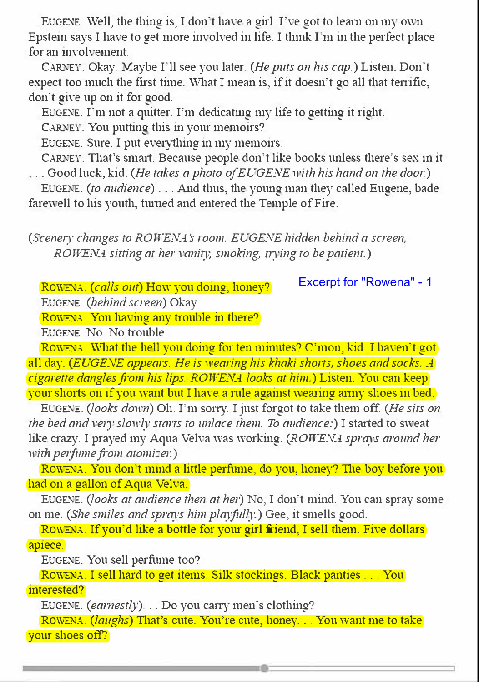EUGENE. Well, the thing is, I don't have a girl. I've got to learn on my own. Epstein says I have to get more involved in life. I think I'm in the perfect place for an involvement.

CARNEY. Okay. Maybe I'll see you later. *(He puts on his cap.)* Listen. Don't expect too much the first time. What I mean is, if it doesn't go all that terrific, don't give up on it for good.

EUGENE. I'm not a quitter. I'm dedicating my life to getting it right.

CARNEY. You putting this in your memoirs?

EUGENE. Sure. I put everything in my memoirs.

CARNEY. That's smart. Because people don't like books unless there's sex in it ... Good luck, kid. *(He takes a photo of EUGENE with his hand on the door.)* 

EUGENE. *(to audience)* ... And thus, the young man they called Eugene, bade farewell to his youth, fumed and entered the Temple of Fire.

(Scenery changes to ROWENA's room. EUGENE hidden behind a screen, *ROWENA sitting at her vanit)', smoking, hying to be patient.)* 

ROWENA. *(calls out)* How you doing, honey? EUGENE. *(behind screen)* Okay. Excerpt for "Rowena" - 1

ROWENA. You having any trouble in there?

EUGENE. No. No trouble.

ROWENA. What the hell you doing for ten minutes? C'mon, kid. I haven't got all day. *(EUGENE appears. He is wearing his khaki shorts, shoes and socks. A cigarette dangles ji·om his lips. ROWENA looks at him.)* Listen. You can keep your shorts on if you want but I have a rule against wearing army shoes in bed.

EUGE.NE. *(looks down)* Oh. I'm sony. I just forgot to take them off. *(He sirs on the bed and very slowly starts to unlace them. To audience:*) I started to sweat like crazy. I prayed my Aqua Velva was working. *(ROWENA spra<sup>y</sup> s around her*  with perfume from atomizer:)

ROWENA. You don't mind a little perfume, do you, honey? The boy before you had on a gallon of Aqua Velva.

EUGENE. *(looks at audience then at her)* No, I don't mind. You can spray some on me. *(She smiles and sprays him playfully.)* Gee, it smells good.

ROWENA. If you'd like a bottle for your girl friend, I sell them. Five dollars apiece.

EUGENE. You sell perfume too?

ROWENA. I sell hard to get items. Silk stockings. Black panties ... You interested?

EUGENE. *(earnestly) .* .. Do you cany men's clothing?

ROWENA. *(laughs)* That's cute. You're cute, honey... You want me to take your shoes off?